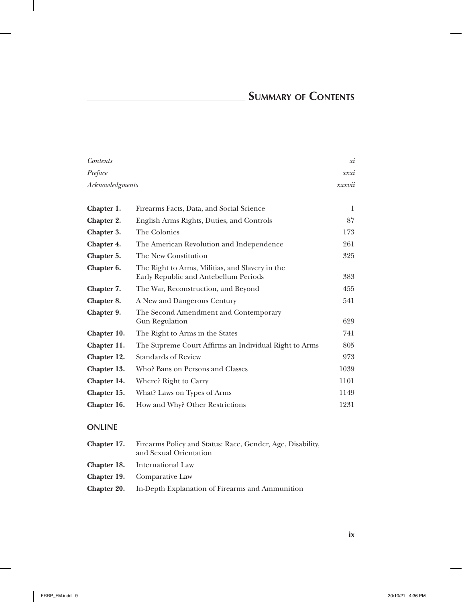## **Summary of Contents**

| Contents        |                                                                                          | xi     |
|-----------------|------------------------------------------------------------------------------------------|--------|
| Preface         |                                                                                          | xxxi   |
| Acknowledgments |                                                                                          | xxxvii |
|                 |                                                                                          |        |
| Chapter 1.      | Firearms Facts, Data, and Social Science                                                 | 1      |
| Chapter 2.      | English Arms Rights, Duties, and Controls                                                | 87     |
| Chapter 3.      | The Colonies                                                                             | 173    |
| Chapter 4.      | The American Revolution and Independence                                                 | 261    |
| Chapter 5.      | The New Constitution                                                                     | 325    |
| Chapter 6.      | The Right to Arms, Militias, and Slavery in the<br>Early Republic and Antebellum Periods | 383    |
| Chapter 7.      | The War, Reconstruction, and Beyond                                                      | 455    |
| Chapter 8.      | A New and Dangerous Century                                                              | 541    |
| Chapter 9.      | The Second Amendment and Contemporary<br><b>Gun Regulation</b>                           | 629    |
| Chapter 10.     | The Right to Arms in the States                                                          | 741    |
| Chapter 11.     | The Supreme Court Affirms an Individual Right to Arms                                    | 805    |
| Chapter 12.     | <b>Standards of Review</b>                                                               | 973    |
| Chapter 13.     | Who? Bans on Persons and Classes                                                         | 1039   |
| Chapter 14.     | Where? Right to Carry                                                                    | 1101   |
| Chapter 15.     | What? Laws on Types of Arms                                                              | 1149   |
| Chapter 16.     | How and Why? Other Restrictions                                                          | 1231   |

## **ONLINE**

| <b>Chapter 17.</b> Firearms Policy and Status: Race, Gender, Age, Disability,<br>and Sexual Orientation |
|---------------------------------------------------------------------------------------------------------|
| <b>Chapter 18.</b> International Law                                                                    |
| <b>Chapter 19.</b> Comparative Law                                                                      |
| <b>Chapter 20.</b> In-Depth Explanation of Firearms and Ammunition                                      |

**ix**

 $\overline{\phantom{a}}$ 

 $\overline{\phantom{a}}$